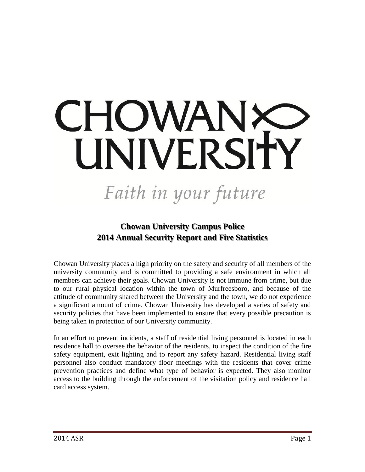# CHOWANX UNIVERSITY

# Faith in your future

# **Chowan University Campus Police 2014 Annual Security Report and Fire Statistics**

Chowan University places a high priority on the safety and security of all members of the university community and is committed to providing a safe environment in which all members can achieve their goals. Chowan University is not immune from crime, but due to our rural physical location within the town of Murfreesboro, and because of the attitude of community shared between the University and the town, we do not experience a significant amount of crime. Chowan University has developed a series of safety and security policies that have been implemented to ensure that every possible precaution is being taken in protection of our University community.

In an effort to prevent incidents, a staff of residential living personnel is located in each residence hall to oversee the behavior of the residents, to inspect the condition of the fire safety equipment, exit lighting and to report any safety hazard. Residential living staff personnel also conduct mandatory floor meetings with the residents that cover crime prevention practices and define what type of behavior is expected. They also monitor access to the building through the enforcement of the visitation policy and residence hall card access system.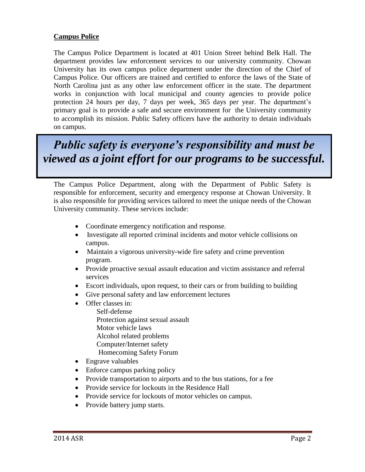#### **Campus Police**

The Campus Police Department is located at 401 Union Street behind Belk Hall. The department provides law enforcement services to our university community. Chowan University has its own campus police department under the direction of the Chief of Campus Police. Our officers are trained and certified to enforce the laws of the State of North Carolina just as any other law enforcement officer in the state. The department works in conjunction with local municipal and county agencies to provide police protection 24 hours per day, 7 days per week, 365 days per year. The department's primary goal is to provide a safe and secure environment for the University community to accomplish its mission. Public Safety officers have the authority to detain individuals on campus.

*Public safety is everyone's responsibility and must be viewed as a joint effort for our programs to be successful.*

The Campus Police Department, along with the Department of Public Safety is responsible for enforcement, security and emergency response at Chowan University. It is also responsible for providing services tailored to meet the unique needs of the Chowan University community. These services include:

- Coordinate emergency notification and response.
- Investigate all reported criminal incidents and motor vehicle collisions on campus.
- Maintain a vigorous university-wide fire safety and crime prevention program.
- Provide proactive sexual assault education and victim assistance and referral services
- Escort individuals, upon request, to their cars or from building to building
- Give personal safety and law enforcement lectures
- Offer classes in:
	- Self-defense Protection against sexual assault Motor vehicle laws Alcohol related problems Computer/Internet safety
	- Homecoming Safety Forum
- Engrave valuables
- Enforce campus parking policy
- Provide transportation to airports and to the bus stations, for a fee
- Provide service for lockouts in the Residence Hall
- Provide service for lockouts of motor vehicles on campus.
- Provide battery jump starts.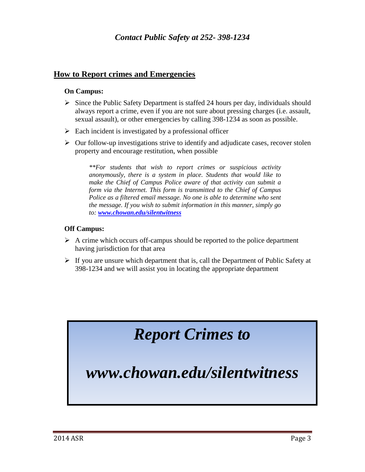#### **How to Report crimes and Emergencies**

#### **On Campus:**

- $\triangleright$  Since the Public Safety Department is staffed 24 hours per day, individuals should always report a crime, even if you are not sure about pressing charges (i.e. assault, sexual assault), or other emergencies by calling 398-1234 as soon as possible.
- $\triangleright$  Each incident is investigated by a professional officer
- $\triangleright$  Our follow-up investigations strive to identify and adjudicate cases, recover stolen property and encourage restitution, when possible

*\*\*For students that wish to report crimes or suspicious activity anonymously, there is a system in place. Students that would like to make the Chief of Campus Police aware of that activity can submit a form via the Internet. This form is transmitted to the Chief of Campus Police as a filtered email message. No one is able to determine who sent the message. If you wish to submit information in this manner, simply go to: [www.chowan.edu/silentwitness](http://www.chowan.edu/silentwitness)*

#### **Off Campus:**

- $\triangleright$  A crime which occurs off-campus should be reported to the police department having jurisdiction for that area
- $\triangleright$  If you are unsure which department that is, call the Department of Public Safety at 398-1234 and we will assist you in locating the appropriate department

# *Report Crimes to*

*www.chowan.edu/silentwitness*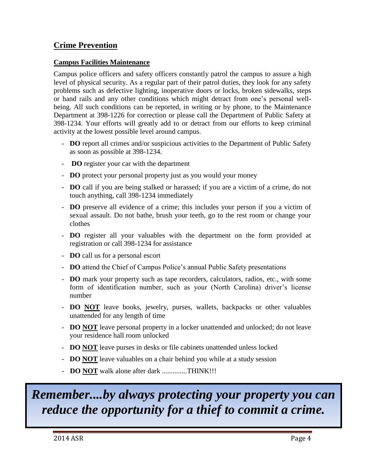## **Crime Prevention**

#### **Campus Facilities Maintenance**

Campus police officers and safety officers constantly patrol the campus to assure a high level of physical security. As a regular part of their patrol duties, they look for any safety problems such as defective lighting, inoperative doors or locks, broken sidewalks, steps or hand rails and any other conditions which might detract from one's personal wellbeing. All such conditions can be reported, in writing or by phone, to the Maintenance Department at 398-1226 for correction or please call the Department of Public Safety at 398-1234. Your efforts will greatly add to or detract from our efforts to keep criminal activity at the lowest possible level around campus.

- **DO** report all crimes and/or suspicious activities to the Department of Public Safety as soon as possible at 398-1234.
- **DO** register your car with the department
- **DO** protect your personal property just as you would your money
- **DO** call if you are being stalked or harassed; if you are a victim of a crime, do not touch anything, call 398-1234 immediately
- **DO** preserve all evidence of a crime; this includes your person if you a victim of sexual assault. Do not bathe, brush your teeth, go to the rest room or change your clothes
- **DO** register all your valuables with the department on the form provided at registration or call 398-1234 for assistance
- **DO** call us for a personal escort
- **DO** attend the Chief of Campus Police's annual Public Safety presentations
- **DO** mark your property such as tape recorders, calculators, radios, etc., with some form of identification number, such as your (North Carolina) driver's license number
- **DO NOT** leave books, jewelry, purses, wallets, backpacks or other valuables unattended for any length of time
- **DO NOT** leave personal property in a locker unattended and unlocked; do not leave your residence hall room unlocked
- **DO NOT** leave purses in desks or file cabinets unattended unless locked
- **DO NOT** leave valuables on a chair behind you while at a study session
- **DO NOT** walk alone after dark ..............THINK!!!

# *Remember....by always protecting your property you can reduce the opportunity for a thief to commit a crime.*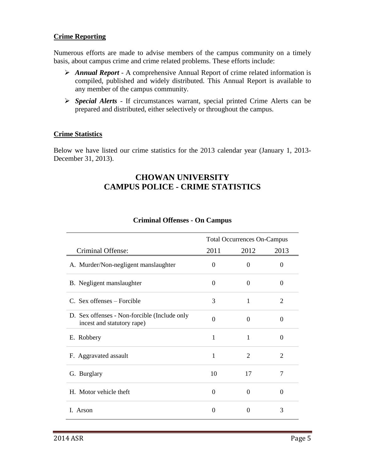#### **Crime Reporting**

Numerous efforts are made to advise members of the campus community on a timely basis, about campus crime and crime related problems. These efforts include:

- *Annual Report* A comprehensive Annual Report of crime related information is compiled, published and widely distributed. This Annual Report is available to any member of the campus community.
- *Special Alerts* If circumstances warrant, special printed Crime Alerts can be prepared and distributed, either selectively or throughout the campus.

#### **Crime Statistics**

Below we have listed our crime statistics for the 2013 calendar year (January 1, 2013- December 31, 2013).

#### **CHOWAN UNIVERSITY CAMPUS POLICE - CRIME STATISTICS**

|                                                                            | <b>Total Occurrences On-Campus</b> |                |          |
|----------------------------------------------------------------------------|------------------------------------|----------------|----------|
| Criminal Offense:                                                          | 2011                               | 2012           | 2013     |
| A. Murder/Non-negligent manslaughter                                       | $\Omega$                           | $\Omega$       | 0        |
| B. Negligent manslaughter                                                  | $\Omega$                           | $\Omega$       | $\Omega$ |
| C. Sex offenses – Forcible                                                 | 3                                  | 1              | 2        |
| D. Sex offenses - Non-forcible (Include only<br>incest and statutory rape) | $\Omega$                           | $\Omega$       | $\theta$ |
| E. Robbery                                                                 | $\mathbf{1}$                       | 1              | $\Omega$ |
| F. Aggravated assault                                                      | $\mathbf{1}$                       | $\overline{2}$ | 2        |
| G. Burglary                                                                | 10                                 | 17             | 7        |
| H. Motor vehicle theft                                                     | $\Omega$                           | $\Omega$       | $\Omega$ |
| Arson<br>L                                                                 | $\Omega$                           | 0              | 3        |

#### **Criminal Offenses - On Campus**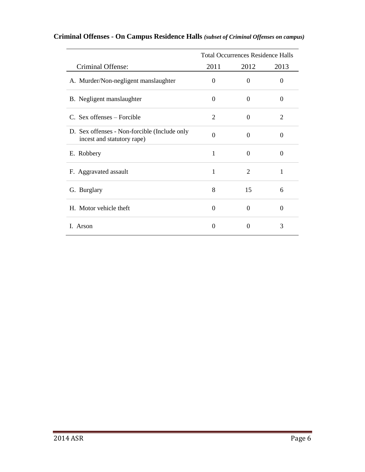|                                                                            | <b>Total Occurrences Residence Halls</b> |                |                |
|----------------------------------------------------------------------------|------------------------------------------|----------------|----------------|
| Criminal Offense:                                                          | 2011                                     | 2012           | 2013           |
| A. Murder/Non-negligent manslaughter                                       | $\Omega$                                 | $\Omega$       | 0              |
| B. Negligent manslaughter                                                  | $\Omega$                                 | $\Omega$       | 0              |
| C. Sex offenses – Forcible                                                 | 2                                        | $\Omega$       | $\overline{2}$ |
| D. Sex offenses - Non-forcible (Include only<br>incest and statutory rape) | $\overline{0}$                           | $\Omega$       | 0              |
| E. Robbery                                                                 | 1                                        | $\Omega$       | 0              |
| F. Aggravated assault                                                      | 1                                        | $\overline{2}$ | 1              |
| G. Burglary                                                                | 8                                        | 15             | 6              |
| H. Motor vehicle theft                                                     | $\theta$                                 | $\Omega$       | 0              |
| Arson<br>L                                                                 | $\theta$                                 | $\Omega$       | 3              |

## **Criminal Offenses - On Campus Residence Halls** *(subset of Criminal Offenses on campus)*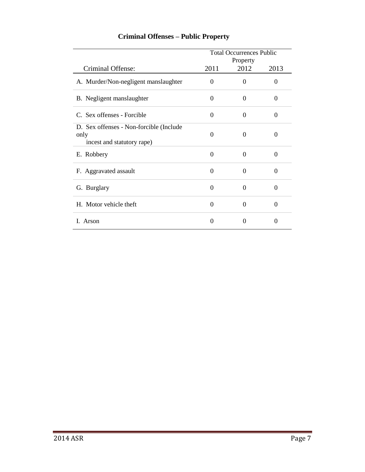|                                                                               | <b>Total Occurrences Public</b> |                  |          |
|-------------------------------------------------------------------------------|---------------------------------|------------------|----------|
| Criminal Offense:                                                             | 2011                            | Property<br>2012 | 2013     |
| A. Murder/Non-negligent manslaughter                                          | 0                               | $\overline{0}$   | $\theta$ |
| B. Negligent manslaughter                                                     | $\Omega$                        | $\Omega$         | 0        |
| C. Sex offenses - Forcible                                                    | 0                               | $\theta$         | $\Omega$ |
| D. Sex offenses - Non-forcible (Include<br>only<br>incest and statutory rape) | $\Omega$                        | $\Omega$         | 0        |
| E. Robbery                                                                    | $\theta$                        | $\theta$         | 0        |
| F. Aggravated assault                                                         | $\theta$                        | $\theta$         | 0        |
| G. Burglary                                                                   | 0                               | $\theta$         | 0        |
| H. Motor vehicle theft                                                        | 0                               | $\Omega$         | 0        |
| I. Arson                                                                      | 0                               | 0                | $\Omega$ |

# **Criminal Offenses – Public Property**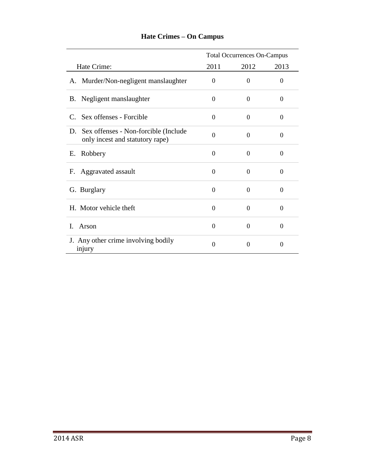|                                                                             | <b>Total Occurrences On-Campus</b> |                  |          |
|-----------------------------------------------------------------------------|------------------------------------|------------------|----------|
| Hate Crime:                                                                 | 2011                               | 2012             | 2013     |
| A. Murder/Non-negligent manslaughter                                        | $\Omega$                           | $\Omega$         | $\Omega$ |
| B. Negligent manslaughter                                                   | $\overline{0}$                     | 0                | $\Omega$ |
| C. Sex offenses - Forcible                                                  | $\Omega$                           | $\theta$         | $\Omega$ |
| D. Sex offenses - Non-forcible (Include)<br>only incest and statutory rape) | $\theta$                           | $\Omega$         | $\Omega$ |
| Robbery<br>Е.                                                               | $\Omega$                           | $\boldsymbol{0}$ | $\theta$ |
| F. Aggravated assault                                                       | $\Omega$                           | $\theta$         | $\Omega$ |
| G. Burglary                                                                 | $\theta$                           | $\theta$         | $\Omega$ |
| H. Motor vehicle theft                                                      | $\Omega$                           | $\theta$         | $\Omega$ |
| I.<br>Arson                                                                 | $\Omega$                           | $\theta$         | $\Omega$ |
| J. Any other crime involving bodily<br>injury                               | $\Omega$                           | 0                | $\Omega$ |

# **Hate Crimes – On Campus**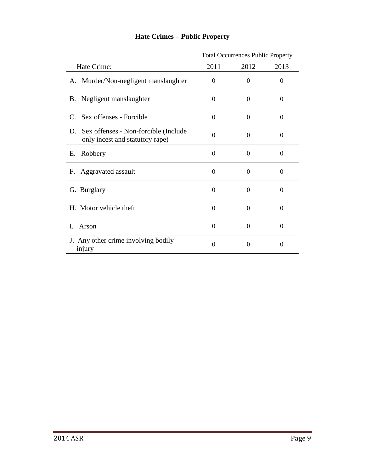|                                                                             | <b>Total Occurrences Public Property</b> |          |          |
|-----------------------------------------------------------------------------|------------------------------------------|----------|----------|
| Hate Crime:                                                                 | 2011                                     | 2012     | 2013     |
| A. Murder/Non-negligent manslaughter                                        | $\Omega$                                 | $\theta$ | $\Omega$ |
| B. Negligent manslaughter                                                   | $\Omega$                                 | $\Omega$ | $\Omega$ |
| C. Sex offenses - Forcible                                                  | $\Omega$                                 | $\theta$ | $\Omega$ |
| D. Sex offenses - Non-forcible (Include)<br>only incest and statutory rape) | $\theta$                                 | $\Omega$ | $\Omega$ |
| Robbery<br>Е.                                                               | $\theta$                                 | $\Omega$ | $\Omega$ |
| Aggravated assault<br>F.                                                    | $\Omega$                                 | $\theta$ | $\Omega$ |
| G. Burglary                                                                 | $\Omega$                                 | $\Omega$ | $\Omega$ |
| H. Motor vehicle theft                                                      | $\Omega$                                 | $\theta$ | $\theta$ |
| I.<br>Arson                                                                 | $\Omega$                                 | $\Omega$ | $\Omega$ |
| J. Any other crime involving bodily<br>injury                               | $\theta$                                 | 0        | $\Omega$ |

# **Hate Crimes – Public Property**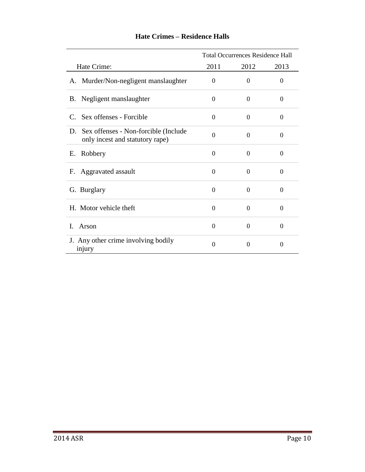|                                                                             | <b>Total Occurrences Residence Hall</b> |                |          |
|-----------------------------------------------------------------------------|-----------------------------------------|----------------|----------|
| Hate Crime:                                                                 | 2011                                    | 2012           | 2013     |
| A. Murder/Non-negligent manslaughter                                        | $\Omega$                                | $\Omega$       | 0        |
| B. Negligent manslaughter                                                   | $\Omega$                                | $\theta$       | $\theta$ |
| C. Sex offenses - Forcible                                                  | $\Omega$                                | $\Omega$       | $\theta$ |
| D. Sex offenses - Non-forcible (Include)<br>only incest and statutory rape) | $\theta$                                | $\Omega$       | $\theta$ |
| Robbery<br>Е.                                                               | $\theta$                                | $\overline{0}$ | $\Omega$ |
| F. Aggravated assault                                                       | $\Omega$                                | $\theta$       | $\theta$ |
| G. Burglary                                                                 | $\Omega$                                | $\Omega$       | $\Omega$ |
| H. Motor vehicle theft                                                      | $\Omega$                                | 0              | $\theta$ |
| $\mathbf{I}$<br>Arson                                                       | $\overline{0}$                          | $\theta$       | $\Omega$ |
| J. Any other crime involving bodily<br>injury                               | $\theta$                                | 0              | 0        |

#### **Hate Crimes – Residence Halls**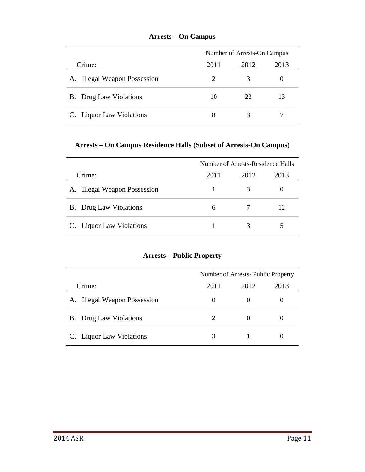|                               |                             | Number of Arrests-On Campus |      |  |
|-------------------------------|-----------------------------|-----------------------------|------|--|
| Crime:                        | 2011                        | 2012                        | 2013 |  |
| A. Illegal Weapon Possession  | $\mathcal{D}_{\mathcal{A}}$ | 3                           |      |  |
| <b>B.</b> Drug Law Violations | 10                          | 23                          | 13   |  |
| C. Liquor Law Violations      | 8                           |                             |      |  |

#### **Arrests – On Campus**

#### **Arrests – On Campus Residence Halls (Subset of Arrests-On Campus)**

|                               | Number of Arrests-Residence Halls |      |      |
|-------------------------------|-----------------------------------|------|------|
| Crime:                        | 2011                              | 2012 | 2013 |
| A. Illegal Weapon Possession  |                                   |      |      |
| <b>B.</b> Drug Law Violations | 6                                 |      | 12   |
| C. Liquor Law Violations      |                                   | 3    |      |

#### **Arrests – Public Property**

|                               | Number of Arrests-Public Property |          |      |
|-------------------------------|-----------------------------------|----------|------|
| Crime:                        | 2011                              | 2012     | 2013 |
| A. Illegal Weapon Possession  | $\theta$                          | $\theta$ |      |
| <b>B.</b> Drug Law Violations | $\mathcal{D}_{\mathcal{L}}$       | $\theta$ |      |
| C. Liquor Law Violations      | 3                                 |          |      |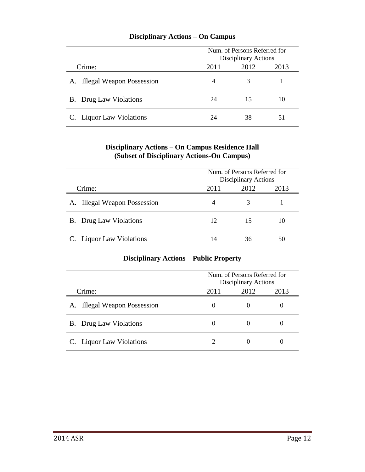|                               |      | Num, of Persons Referred for<br>Disciplinary Actions |    |  |
|-------------------------------|------|------------------------------------------------------|----|--|
| Crime:                        | 2011 | 2013<br>2012                                         |    |  |
| A. Illegal Weapon Possession  | 4    | 3                                                    |    |  |
| <b>B.</b> Drug Law Violations | 24   | 15                                                   | 10 |  |
| C. Liquor Law Violations      | 24   | 38                                                   | 51 |  |

#### **Disciplinary Actions – On Campus**

#### **Disciplinary Actions – On Campus Residence Hall (Subset of Disciplinary Actions-On Campus)**

|                               | Num, of Persons Referred for<br>Disciplinary Actions |      |      |
|-------------------------------|------------------------------------------------------|------|------|
| Crime:                        | 2011                                                 | 2012 | 2013 |
| A. Illegal Weapon Possession  | 4                                                    | 3    |      |
| <b>B.</b> Drug Law Violations | 12                                                   | 15   | 10   |
| C. Liquor Law Violations      | 14                                                   | 36   | 50   |

#### **Disciplinary Actions – Public Property**

|                               | Num. of Persons Referred for<br>Disciplinary Actions |                   |      |
|-------------------------------|------------------------------------------------------|-------------------|------|
| Crime:                        | 2011                                                 | 2012              | 2013 |
| A. Illegal Weapon Possession  |                                                      | $\mathbf{\Omega}$ |      |
| <b>B.</b> Drug Law Violations |                                                      | $\theta$          |      |
| C. Liquor Law Violations      |                                                      | $\mathbf{\Omega}$ |      |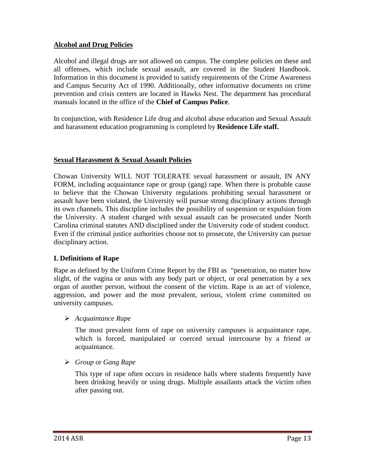#### **Alcohol and Drug Policies**

Alcohol and illegal drugs are not allowed on campus. The complete policies on these and all offenses, which include sexual assault, are covered in the Student Handbook. Information in this document is provided to satisfy requirements of the Crime Awareness and Campus Security Act of 1990. Additionally, other informative documents on crime prevention and crisis centers are located in Hawks Nest. The department has procedural manuals located in the office of the **Chief of Campus Police**.

In conjunction, with Residence Life drug and alcohol abuse education and Sexual Assault and harassment education programming is completed by **Residence Life staff.**

#### **Sexual Harassment & Sexual Assault Policies**

Chowan University WILL NOT TOLERATE sexual harassment or assault, IN ANY FORM, including acquaintance rape or group (gang) rape. When there is probable cause to believe that the Chowan University regulations prohibiting sexual harassment or assault have been violated, the University will pursue strong disciplinary actions through its own channels. This discipline includes the possibility of suspension or expulsion from the University. A student charged with sexual assault can be prosecuted under North Carolina criminal statutes AND disciplined under the University code of student conduct. Even if the criminal justice authorities choose not to prosecute, the University can pursue disciplinary action.

#### **I. Definitions of Rape**

Rape as defined by the Uniform Crime Report by the FBI as "penetration, no matter how slight, of the vagina or anus with any body part or object, or oral penetration by a sex organ of another person, without the consent of the victim. Rape is an act of violence, aggression, and power and the most prevalent, serious, violent crime committed on university campuses.

#### *Acquaintance Rape*

The most prevalent form of rape on university campuses is acquaintance rape, which is forced, manipulated or coerced sexual intercourse by a friend or acquaintance.

*Group* or *Gang Rape*

This type of rape often occurs in residence halls where students frequently have been drinking heavily or using drugs. Multiple assailants attack the victim often after passing out.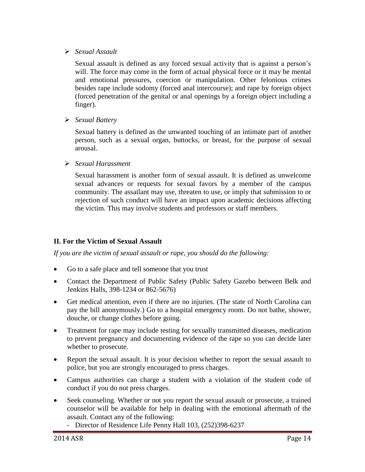#### *Sexual Assault*

Sexual assault is defined as any forced sexual activity that is against a person's will. The force may come in the form of actual physical force or it may be mental and emotional pressures, coercion or manipulation. Other felonious crimes besides rape include sodomy (forced anal intercourse); and rape by foreign object (forced penetration of the genital or anal openings by a foreign object including a finger).

*Sexual Battery*

Sexual battery is defined as the unwanted touching of an intimate part of another person, such as a sexual organ, buttocks, or breast, for the purpose of sexual arousal.

#### *Sexual Harassment*

Sexual harassment is another form of sexual assault. It is defined as unwelcome sexual advances or requests for sexual favors by a member of the campus community. The assailant may use, threaten to use, or imply that submission to or rejection of such conduct will have an impact upon academic decisions affecting the victim. This may involve students and professors or staff members.

#### **II. For the Victim of Sexual Assault**

*If you are the victim of sexual assault or rape, you should do the following:*

- Go to a safe place and tell someone that you trust
- Contact the Department of Public Safety (Public Safety Gazebo between Belk and Jenkins Halls, 398-1234 or 862-5676)
- Get medical attention, even if there are no injuries. (The state of North Carolina can pay the bill anonymously.) Go to a hospital emergency room. Do not bathe, shower, douche, or change clothes before going.
- Treatment for rape may include testing for sexually transmitted diseases, medication to prevent pregnancy and documenting evidence of the rape so you can decide later whether to prosecute.
- Report the sexual assault. It is your decision whether to report the sexual assault to police, but you are strongly encouraged to press charges.
- Campus authorities can charge a student with a violation of the student code of conduct if you do not press charges.
- Seek counseling. Whether or not you report the sexual assault or prosecute, a trained counselor will be available for help in dealing with the emotional aftermath of the assault. Contact any of the following:
	- Director of Residence Life Penny Hall 103, (252)398-6237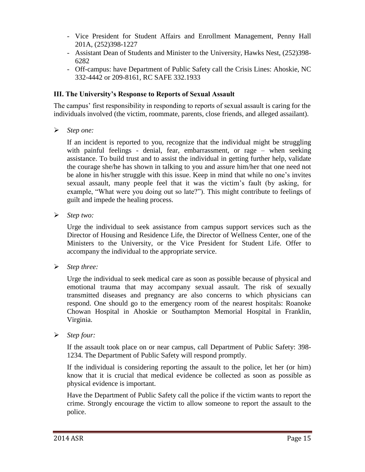- Vice President for Student Affairs and Enrollment Management, Penny Hall 201A, (252)398-1227
- Assistant Dean of Students and Minister to the University, Hawks Nest, (252)398- 6282
- Off-campus: have Department of Public Safety call the Crisis Lines: Ahoskie, NC 332-4442 or 209-8161, RC SAFE 332.1933

#### **III. The University's Response to Reports of Sexual Assault**

The campus' first responsibility in responding to reports of sexual assault is caring for the individuals involved (the victim, roommate, parents, close friends, and alleged assailant).

*Step one:* 

If an incident is reported to you, recognize that the individual might be struggling with painful feelings - denial, fear, embarrassment, or rage – when seeking assistance. To build trust and to assist the individual in getting further help, validate the courage she/he has shown in talking to you and assure him/her that one need not be alone in his/her struggle with this issue. Keep in mind that while no one's invites sexual assault, many people feel that it was the victim's fault (by asking, for example, "What were you doing out so late?"). This might contribute to feelings of guilt and impede the healing process.

*Step two:* 

Urge the individual to seek assistance from campus support services such as the Director of Housing and Residence Life, the Director of Wellness Center, one of the Ministers to the University, or the Vice President for Student Life. Offer to accompany the individual to the appropriate service.

*Step three:* 

Urge the individual to seek medical care as soon as possible because of physical and emotional trauma that may accompany sexual assault. The risk of sexually transmitted diseases and pregnancy are also concerns to which physicians can respond. One should go to the emergency room of the nearest hospitals: Roanoke Chowan Hospital in Ahoskie or Southampton Memorial Hospital in Franklin, Virginia.

*Step four:* 

If the assault took place on or near campus, call Department of Public Safety: 398- 1234. The Department of Public Safety will respond promptly.

If the individual is considering reporting the assault to the police, let her (or him) know that it is crucial that medical evidence be collected as soon as possible as physical evidence is important.

Have the Department of Public Safety call the police if the victim wants to report the crime. Strongly encourage the victim to allow someone to report the assault to the police.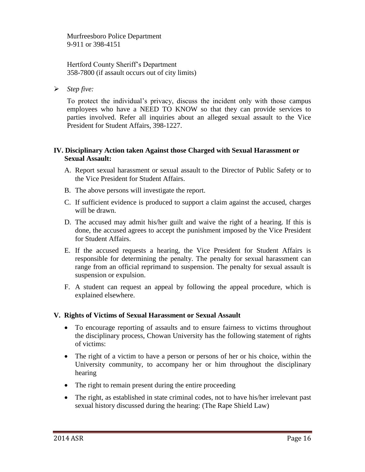Murfreesboro Police Department 9-911 or 398-4151

Hertford County Sheriff's Department 358-7800 (if assault occurs out of city limits)

*Step five:*

To protect the individual's privacy, discuss the incident only with those campus employees who have a NEED TO KNOW so that they can provide services to parties involved. Refer all inquiries about an alleged sexual assault to the Vice President for Student Affairs, 398-1227.

#### **IV. Disciplinary Action taken Against those Charged with Sexual Harassment or Sexual Assault:**

- A. Report sexual harassment or sexual assault to the Director of Public Safety or to the Vice President for Student Affairs.
- B. The above persons will investigate the report.
- C. If sufficient evidence is produced to support a claim against the accused, charges will be drawn.
- D. The accused may admit his/her guilt and waive the right of a hearing. If this is done, the accused agrees to accept the punishment imposed by the Vice President for Student Affairs.
- E. If the accused requests a hearing, the Vice President for Student Affairs is responsible for determining the penalty. The penalty for sexual harassment can range from an official reprimand to suspension. The penalty for sexual assault is suspension or expulsion.
- F. A student can request an appeal by following the appeal procedure, which is explained elsewhere.

#### **V. Rights of Victims of Sexual Harassment or Sexual Assault**

- To encourage reporting of assaults and to ensure fairness to victims throughout the disciplinary process, Chowan University has the following statement of rights of victims:
- The right of a victim to have a person or persons of her or his choice, within the University community, to accompany her or him throughout the disciplinary hearing
- The right to remain present during the entire proceeding
- The right, as established in state criminal codes, not to have his/her irrelevant past sexual history discussed during the hearing: (The Rape Shield Law)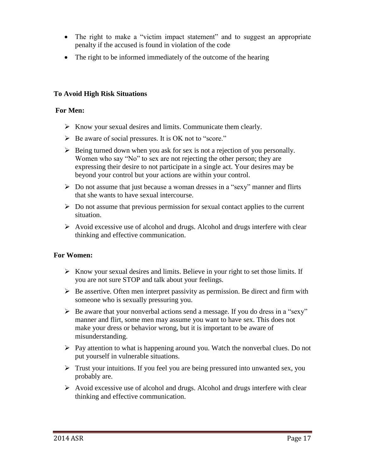- The right to make a "victim impact statement" and to suggest an appropriate penalty if the accused is found in violation of the code
- The right to be informed immediately of the outcome of the hearing

#### **To Avoid High Risk Situations**

#### **For Men:**

- $\triangleright$  Know your sexual desires and limits. Communicate them clearly.
- Be aware of social pressures. It is OK not to "score."
- $\triangleright$  Being turned down when you ask for sex is not a rejection of you personally. Women who say "No" to sex are not rejecting the other person; they are expressing their desire to not participate in a single act. Your desires may be beyond your control but your actions are within your control.
- $\triangleright$  Do not assume that just because a woman dresses in a "sexy" manner and flirts that she wants to have sexual intercourse.
- $\triangleright$  Do not assume that previous permission for sexual contact applies to the current situation.
- $\triangleright$  Avoid excessive use of alcohol and drugs. Alcohol and drugs interfere with clear thinking and effective communication.

#### **For Women:**

- $\triangleright$  Know your sexual desires and limits. Believe in your right to set those limits. If you are not sure STOP and talk about your feelings.
- $\triangleright$  Be assertive. Often men interpret passivity as permission. Be direct and firm with someone who is sexually pressuring you.
- $\triangleright$  Be aware that your nonverbal actions send a message. If you do dress in a "sexy" manner and flirt, some men may assume you want to have sex. This does not make your dress or behavior wrong, but it is important to be aware of misunderstanding.
- $\triangleright$  Pay attention to what is happening around you. Watch the nonverbal clues. Do not put yourself in vulnerable situations.
- $\triangleright$  Trust your intuitions. If you feel you are being pressured into unwanted sex, you probably are.
- $\triangleright$  Avoid excessive use of alcohol and drugs. Alcohol and drugs interfere with clear thinking and effective communication.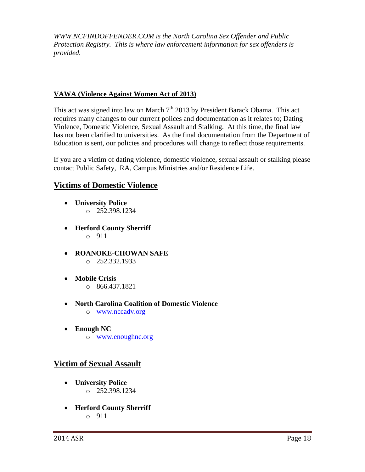*WWW.NCFINDOFFENDER.COM is the North Carolina Sex Offender and Public Protection Registry. This is where law enforcement information for sex offenders is provided.*

#### **VAWA (Violence Against Women Act of 2013)**

This act was signed into law on March  $7<sup>th</sup>$  2013 by President Barack Obama. This act requires many changes to our current polices and documentation as it relates to; Dating Violence, Domestic Violence, Sexual Assault and Stalking. At this time, the final law has not been clarified to universities. As the final documentation from the Department of Education is sent, our policies and procedures will change to reflect those requirements.

If you are a victim of dating violence, domestic violence, sexual assault or stalking please contact Public Safety, RA, Campus Ministries and/or Residence Life.

#### **Victims of Domestic Violence**

- **University Police** o 252.398.1234
- **Herford County Sherriff** o 911
- **ROANOKE-CHOWAN SAFE** o 252.332.1933
- **Mobile Crisis** o 866.437.1821
- **North Carolina Coalition of Domestic Violence** o [www.nccadv.org](http://www.nccadv.org/)
- **Enough NC** o [www.enoughnc.org](http://www.enoughnc.org/)

#### **Victim of Sexual Assault**

- **University Police**  $O$  252.398.1234
- **Herford County Sherriff** o 911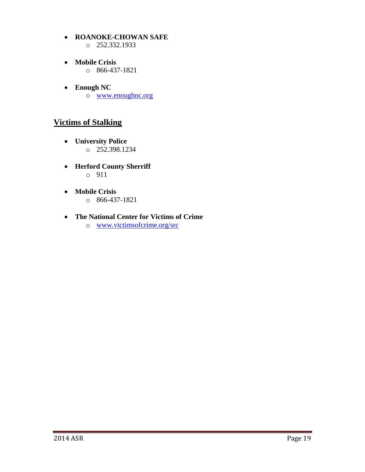- **ROANOKE-CHOWAN SAFE** o 252.332.1933
- **Mobile Crisis**  $\circ$  866-437-1821
- **Enough NC** o [www.enoughnc.org](file://chowan-fp/data/Residence%20Life/STUDENT%20OFFENSES/Crime%20Report%20Information/2013/www.enoughnc.org%20)

#### **Victims of Stalking**

- **University Police**  $\circ$  252.398.1234
- **Herford County Sherriff** o 911
- **Mobile Crisis** o 866-437-1821

#### **The National Center for Victims of Crime**

o [www.victimsofcrime.org/src](http://www.victimsofcrime.org/src)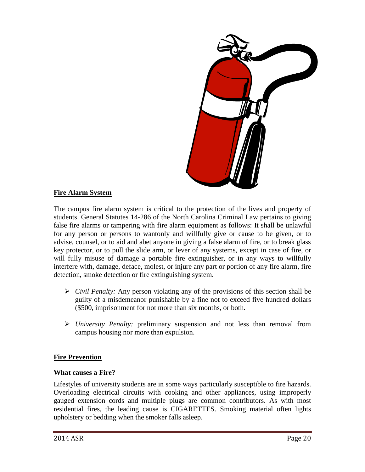

#### **Fire Alarm System**

The campus fire alarm system is critical to the protection of the lives and property of students. General Statutes 14-286 of the North Carolina Criminal Law pertains to giving false fire alarms or tampering with fire alarm equipment as follows: It shall be unlawful for any person or persons to wantonly and willfully give or cause to be given, or to advise, counsel, or to aid and abet anyone in giving a false alarm of fire, or to break glass key protector, or to pull the slide arm, or lever of any systems, except in case of fire, or will fully misuse of damage a portable fire extinguisher, or in any ways to willfully interfere with, damage, deface, molest, or injure any part or portion of any fire alarm, fire detection, smoke detection or fire extinguishing system.

- *Civil Penalty:* Any person violating any of the provisions of this section shall be guilty of a misdemeanor punishable by a fine not to exceed five hundred dollars (\$500, imprisonment for not more than six months, or both.
- *University Penalty:* preliminary suspension and not less than removal from campus housing nor more than expulsion.

#### **Fire Prevention**

#### **What causes a Fire?**

Lifestyles of university students are in some ways particularly susceptible to fire hazards. Overloading electrical circuits with cooking and other appliances, using improperly gauged extension cords and multiple plugs are common contributors. As with most residential fires, the leading cause is CIGARETTES. Smoking material often lights upholstery or bedding when the smoker falls asleep.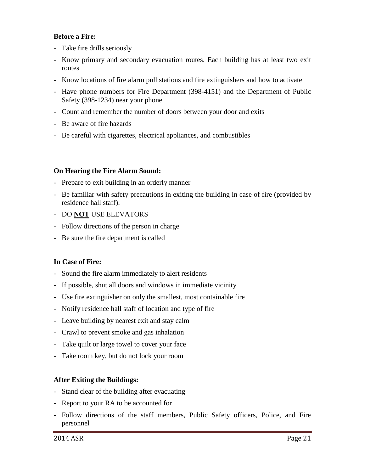#### **Before a Fire:**

- Take fire drills seriously
- Know primary and secondary evacuation routes. Each building has at least two exit routes
- Know locations of fire alarm pull stations and fire extinguishers and how to activate
- Have phone numbers for Fire Department (398-4151) and the Department of Public Safety (398-1234) near your phone
- Count and remember the number of doors between your door and exits
- Be aware of fire hazards
- Be careful with cigarettes, electrical appliances, and combustibles

#### **On Hearing the Fire Alarm Sound:**

- Prepare to exit building in an orderly manner
- Be familiar with safety precautions in exiting the building in case of fire (provided by residence hall staff).
- DO **NOT** USE ELEVATORS
- Follow directions of the person in charge
- Be sure the fire department is called

#### **In Case of Fire:**

- Sound the fire alarm immediately to alert residents
- If possible, shut all doors and windows in immediate vicinity
- Use fire extinguisher on only the smallest, most containable fire
- Notify residence hall staff of location and type of fire
- Leave building by nearest exit and stay calm
- Crawl to prevent smoke and gas inhalation
- Take quilt or large towel to cover your face
- Take room key, but do not lock your room

#### **After Exiting the Buildings:**

- Stand clear of the building after evacuating
- Report to your RA to be accounted for
- Follow directions of the staff members, Public Safety officers, Police, and Fire personnel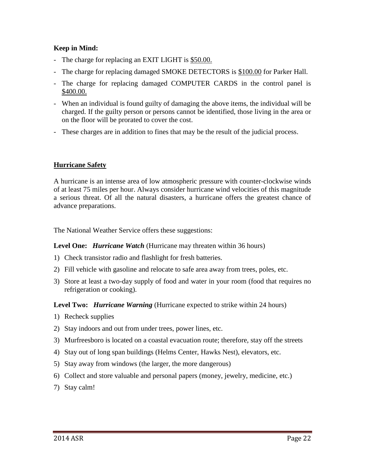#### **Keep in Mind:**

- The charge for replacing an EXIT LIGHT is \$50.00.
- The charge for replacing damaged SMOKE DETECTORS is \$100.00 for Parker Hall.
- The charge for replacing damaged COMPUTER CARDS in the control panel is \$400.00.
- When an individual is found guilty of damaging the above items, the individual will be charged. If the guilty person or persons cannot be identified, those living in the area or on the floor will be prorated to cover the cost.
- These charges are in addition to fines that may be the result of the judicial process.

#### **Hurricane Safety**

A hurricane is an intense area of low atmospheric pressure with counter-clockwise winds of at least 75 miles per hour. Always consider hurricane wind velocities of this magnitude a serious threat. Of all the natural disasters, a hurricane offers the greatest chance of advance preparations.

The National Weather Service offers these suggestions:

**Level One:** *Hurricane Watch* (Hurricane may threaten within 36 hours)

- 1) Check transistor radio and flashlight for fresh batteries.
- 2) Fill vehicle with gasoline and relocate to safe area away from trees, poles, etc.
- 3) Store at least a two-day supply of food and water in your room (food that requires no refrigeration or cooking).

**Level Two:** *Hurricane Warning* (Hurricane expected to strike within 24 hours)

- 1) Recheck supplies
- 2) Stay indoors and out from under trees, power lines, etc.
- 3) Murfreesboro is located on a coastal evacuation route; therefore, stay off the streets
- 4) Stay out of long span buildings (Helms Center, Hawks Nest), elevators, etc.
- 5) Stay away from windows (the larger, the more dangerous)
- 6) Collect and store valuable and personal papers (money, jewelry, medicine, etc.)
- 7) Stay calm!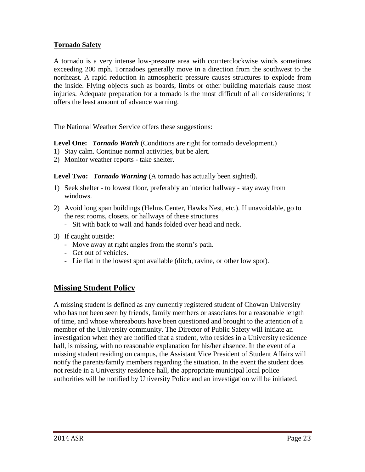#### **Tornado Safety**

A tornado is a very intense low-pressure area with counterclockwise winds sometimes exceeding 200 mph. Tornadoes generally move in a direction from the southwest to the northeast. A rapid reduction in atmospheric pressure causes structures to explode from the inside. Flying objects such as boards, limbs or other building materials cause most injuries. Adequate preparation for a tornado is the most difficult of all considerations; it offers the least amount of advance warning.

The National Weather Service offers these suggestions:

**Level One:** *Tornado Watch* (Conditions are right for tornado development.)

- 1) Stay calm. Continue normal activities, but be alert.
- 2) Monitor weather reports take shelter.

**Level Two:** *Tornado Warning* (A tornado has actually been sighted).

- 1) Seek shelter to lowest floor, preferably an interior hallway stay away from windows.
- 2) Avoid long span buildings (Helms Center, Hawks Nest, etc.). If unavoidable, go to the rest rooms, closets, or hallways of these structures
	- Sit with back to wall and hands folded over head and neck.
- 3) If caught outside:
	- Move away at right angles from the storm's path.
	- Get out of vehicles.
	- Lie flat in the lowest spot available (ditch, ravine, or other low spot).

#### **Missing Student Policy**

A missing student is defined as any currently registered student of Chowan University who has not been seen by friends, family members or associates for a reasonable length of time, and whose whereabouts have been questioned and brought to the attention of a member of the University community. The Director of Public Safety will initiate an investigation when they are notified that a student, who resides in a University residence hall, is missing, with no reasonable explanation for his/her absence. In the event of a missing student residing on campus, the Assistant Vice President of Student Affairs will notify the parents/family members regarding the situation. In the event the student does not reside in a University residence hall, the appropriate municipal local police authorities will be notified by University Police and an investigation will be initiated.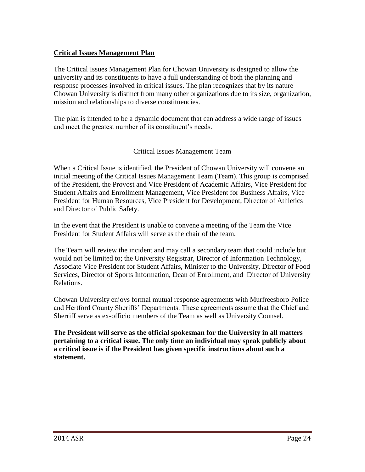#### **Critical Issues Management Plan**

The Critical Issues Management Plan for Chowan University is designed to allow the university and its constituents to have a full understanding of both the planning and response processes involved in critical issues. The plan recognizes that by its nature Chowan University is distinct from many other organizations due to its size, organization, mission and relationships to diverse constituencies.

The plan is intended to be a dynamic document that can address a wide range of issues and meet the greatest number of its constituent's needs.

#### Critical Issues Management Team

When a Critical Issue is identified, the President of Chowan University will convene an initial meeting of the Critical Issues Management Team (Team). This group is comprised of the President, the Provost and Vice President of Academic Affairs, Vice President for Student Affairs and Enrollment Management, Vice President for Business Affairs, Vice President for Human Resources, Vice President for Development, Director of Athletics and Director of Public Safety.

In the event that the President is unable to convene a meeting of the Team the Vice President for Student Affairs will serve as the chair of the team.

The Team will review the incident and may call a secondary team that could include but would not be limited to; the University Registrar, Director of Information Technology, Associate Vice President for Student Affairs, Minister to the University, Director of Food Services, Director of Sports Information, Dean of Enrollment, and Director of University Relations.

Chowan University enjoys formal mutual response agreements with Murfreesboro Police and Hertford County Sheriffs' Departments. These agreements assume that the Chief and Sherriff serve as ex-officio members of the Team as well as University Counsel.

**The President will serve as the official spokesman for the University in all matters pertaining to a critical issue. The only time an individual may speak publicly about a critical issue is if the President has given specific instructions about such a statement.**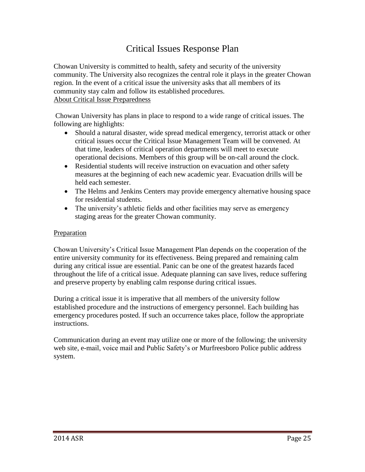# Critical Issues Response Plan

Chowan University is committed to health, safety and security of the university community. The University also recognizes the central role it plays in the greater Chowan region. In the event of a critical issue the university asks that all members of its community stay calm and follow its established procedures. About Critical Issue Preparedness

Chowan University has plans in place to respond to a wide range of critical issues. The following are highlights:

- Should a natural disaster, wide spread medical emergency, terrorist attack or other critical issues occur the Critical Issue Management Team will be convened. At that time, leaders of critical operation departments will meet to execute operational decisions. Members of this group will be on-call around the clock.
- Residential students will receive instruction on evacuation and other safety measures at the beginning of each new academic year. Evacuation drills will be held each semester.
- The Helms and Jenkins Centers may provide emergency alternative housing space for residential students.
- The university's athletic fields and other facilities may serve as emergency staging areas for the greater Chowan community.

#### Preparation

Chowan University's Critical Issue Management Plan depends on the cooperation of the entire university community for its effectiveness. Being prepared and remaining calm during any critical issue are essential. Panic can be one of the greatest hazards faced throughout the life of a critical issue. Adequate planning can save lives, reduce suffering and preserve property by enabling calm response during critical issues.

During a critical issue it is imperative that all members of the university follow established procedure and the instructions of emergency personnel. Each building has emergency procedures posted. If such an occurrence takes place, follow the appropriate instructions.

Communication during an event may utilize one or more of the following; the university web site, e-mail, voice mail and Public Safety's or Murfreesboro Police public address system.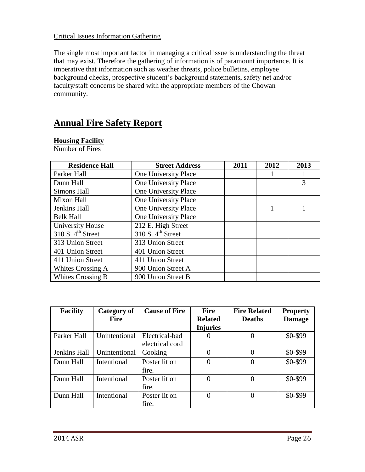#### Critical Issues Information Gathering

The single most important factor in managing a critical issue is understanding the threat that may exist. Therefore the gathering of information is of paramount importance. It is imperative that information such as weather threats, police bulletins, employee background checks, prospective student's background statements, safety net and/or faculty/staff concerns be shared with the appropriate members of the Chowan community.

# **Annual Fire Safety Report**

#### **Housing Facility**

Number of Fires

| <b>Residence Hall</b>         | <b>Street Address</b>        | 2011 | 2012 | 2013 |
|-------------------------------|------------------------------|------|------|------|
| Parker Hall                   | One University Place         |      |      |      |
| Dunn Hall                     | One University Place         |      | 3    |      |
| Simons Hall                   | One University Place         |      |      |      |
| Mixon Hall                    | One University Place         |      |      |      |
| Jenkins Hall                  | One University Place         |      | 1    |      |
| <b>Belk Hall</b>              | One University Place         |      |      |      |
| <b>University House</b>       | 212 E. High Street           |      |      |      |
| 310 S. 4 <sup>th</sup> Street | 310 S.4 <sup>th</sup> Street |      |      |      |
| 313 Union Street              | 313 Union Street             |      |      |      |
| 401 Union Street              | 401 Union Street             |      |      |      |
| 411 Union Street              | 411 Union Street             |      |      |      |
| Whites Crossing A             | 900 Union Street A           |      |      |      |
| Whites Crossing B             | 900 Union Street B           |      |      |      |

| <b>Facility</b> | Category of   | <b>Cause of Fire</b> | <b>Fire</b>     | <b>Fire Related</b> | <b>Property</b> |
|-----------------|---------------|----------------------|-----------------|---------------------|-----------------|
|                 | <b>Fire</b>   |                      | <b>Related</b>  | <b>Deaths</b>       | <b>Damage</b>   |
|                 |               |                      | <b>Injuries</b> |                     |                 |
| Parker Hall     | Unintentional | Electrical-bad       | 0               | $\theta$            | \$0-\$99        |
|                 |               | electrical cord      |                 |                     |                 |
| Jenkins Hall    | Unintentional | Cooking              | $\theta$        |                     | \$0-\$99        |
| Dunn Hall       | Intentional   | Poster lit on        | $\Omega$        | $\Omega$            | \$0-\$99        |
|                 |               | fire.                |                 |                     |                 |
| Dunn Hall       | Intentional   | Poster lit on        | 0               | $\Omega$            | \$0-\$99        |
|                 |               | fire.                |                 |                     |                 |
| Dunn Hall       | Intentional   | Poster lit on        | $\Omega$        | $\Omega$            | \$0-\$99        |
|                 |               | fire.                |                 |                     |                 |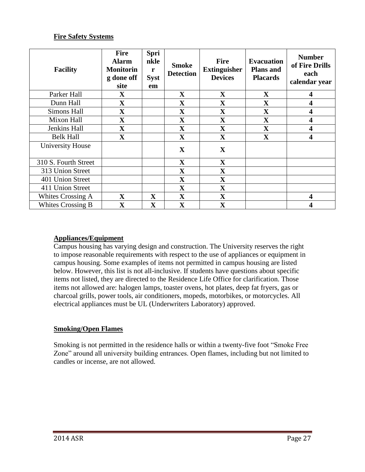#### **Fire Safety Systems**

| <b>Facility</b>      | <b>Fire</b><br><b>Alarm</b><br><b>Monitorin</b><br>g done off<br>site | Spri<br>nkle<br>r<br><b>Syst</b><br>em | <b>Smoke</b><br><b>Detection</b> | <b>Fire</b><br><b>Extinguisher</b><br><b>Devices</b> | <b>Evacuation</b><br><b>Plans and</b><br><b>Placards</b> | <b>Number</b><br>of Fire Drills<br>each<br>calendar year |
|----------------------|-----------------------------------------------------------------------|----------------------------------------|----------------------------------|------------------------------------------------------|----------------------------------------------------------|----------------------------------------------------------|
| Parker Hall          | $\mathbf X$                                                           |                                        | $\mathbf X$                      | $\mathbf{X}$                                         | $\mathbf X$                                              | $\boldsymbol{4}$                                         |
| Dunn Hall            | $\mathbf X$                                                           |                                        | $\mathbf X$                      | $\mathbf X$                                          | X                                                        | 4                                                        |
| Simons Hall          | $\mathbf X$                                                           |                                        | $\mathbf X$                      | $\mathbf X$                                          | $\mathbf X$                                              | 4                                                        |
| Mixon Hall           | $\overline{\mathbf{X}}$                                               |                                        | $\mathbf X$                      | $\mathbf X$                                          | $\mathbf X$                                              | 4                                                        |
| Jenkins Hall         | $\mathbf X$                                                           |                                        | $\mathbf X$                      | $\overline{\mathbf{X}}$                              | $\mathbf X$                                              | 4                                                        |
| <b>Belk Hall</b>     | $\mathbf X$                                                           |                                        | $\mathbf X$                      | $\mathbf X$                                          | $\mathbf X$                                              | 4                                                        |
| University House     |                                                                       |                                        | $\mathbf{X}$                     | $\mathbf{X}$                                         |                                                          |                                                          |
| 310 S. Fourth Street |                                                                       |                                        | $\mathbf X$                      | $\mathbf X$                                          |                                                          |                                                          |
| 313 Union Street     |                                                                       |                                        | $\mathbf X$                      | $\mathbf X$                                          |                                                          |                                                          |
| 401 Union Street     |                                                                       |                                        | $\mathbf X$                      | $\mathbf X$                                          |                                                          |                                                          |
| 411 Union Street     |                                                                       |                                        | $\mathbf X$                      | $\mathbf X$                                          |                                                          |                                                          |
| Whites Crossing A    | $\mathbf X$                                                           | $\mathbf X$                            | $\mathbf X$                      | $\mathbf X$                                          |                                                          | $\boldsymbol{\Delta}$                                    |
| Whites Crossing B    | $\mathbf X$                                                           | $\mathbf X$                            | $\mathbf{X}$                     | $\mathbf X$                                          |                                                          | 4                                                        |

#### **Appliances/Equipment**

Campus housing has varying design and construction. The University reserves the right to impose reasonable requirements with respect to the use of appliances or equipment in campus housing. Some examples of items not permitted in campus housing are listed below. However, this list is not all-inclusive. If students have questions about specific items not listed, they are directed to the Residence Life Office for clarification. Those items not allowed are: halogen lamps, toaster ovens, hot plates, deep fat fryers, gas or charcoal grills, power tools, air conditioners, mopeds, motorbikes, or motorcycles. All electrical appliances must be UL (Underwriters Laboratory) approved.

#### **Smoking/Open Flames**

Smoking is not permitted in the residence halls or within a twenty-five foot "Smoke Free Zone" around all university building entrances. Open flames, including but not limited to candles or incense, are not allowed.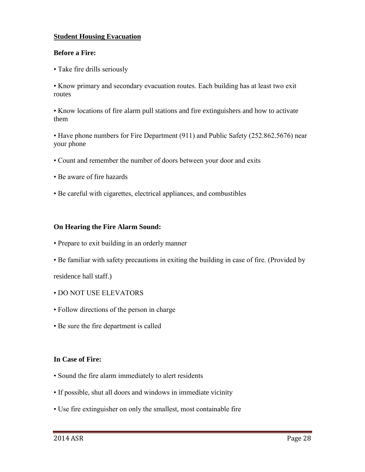#### **Student Housing Evacuation**

#### **Before a Fire:**

• Take fire drills seriously

• Know primary and secondary evacuation routes. Each building has at least two exit routes

• Know locations of fire alarm pull stations and fire extinguishers and how to activate them

• Have phone numbers for Fire Department (911) and Public Safety (252.862.5676) near your phone

- Count and remember the number of doors between your door and exits
- Be aware of fire hazards
- Be careful with cigarettes, electrical appliances, and combustibles

#### **On Hearing the Fire Alarm Sound:**

- Prepare to exit building in an orderly manner
- Be familiar with safety precautions in exiting the building in case of fire. (Provided by

residence hall staff.)

- DO NOT USE ELEVATORS
- Follow directions of the person in charge
- Be sure the fire department is called

#### **In Case of Fire:**

- Sound the fire alarm immediately to alert residents
- If possible, shut all doors and windows in immediate vicinity
- Use fire extinguisher on only the smallest, most containable fire